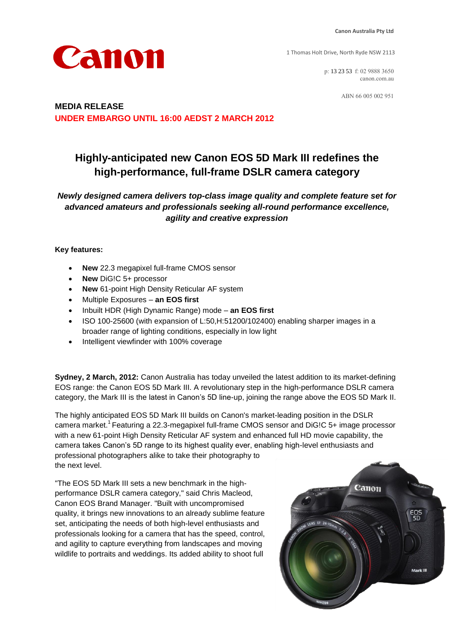Canon

1 Thomas Holt Drive, North Ryde NSW 2113

p: 13 23 53 f: 02 9888 3650 canon.com.au

ABN 66 005 002 951

# **MEDIA RELEASE UNDER EMBARGO UNTIL 16:00 AEDST 2 MARCH 2012**

# **Highly-anticipated new Canon EOS 5D Mark III redefines the high-performance, full-frame DSLR camera category**

*Newly designed camera delivers top-class image quality and complete feature set for advanced amateurs and professionals seeking all-round performance excellence, agility and creative expression* 

### **Key features:**

- **New** 22.3 megapixel full-frame CMOS sensor
- **New** DiG!C 5+ processor
- **New** 61-point High Density Reticular AF system
- Multiple Exposures **an EOS first**
- Inbuilt HDR (High Dynamic Range) mode **an EOS first**
- ISO 100-25600 (with expansion of L:50,H:51200/102400) enabling sharper images in a broader range of lighting conditions, especially in low light
- Intelligent viewfinder with 100% coverage

**Sydney, 2 March, 2012:** Canon Australia has today unveiled the latest addition to its market-defining EOS range: the Canon EOS 5D Mark III. A revolutionary step in the high-performance DSLR camera category, the Mark III is the latest in Canon's 5D line-up, joining the range above the EOS 5D Mark II.

The highly anticipated EOS 5D Mark III builds on Canon's market-leading position in the DSLR camera market.<sup>1</sup> Featuring a 22.3-megapixel full-frame CMOS sensor and DiG!C 5+ image processor with a new 61-point High Density Reticular AF system and enhanced full HD movie capability, the camera takes Canon's 5D range to its highest quality ever, enabling high-level enthusiasts and professional photographers alike to take their photography to the next level.

"The EOS 5D Mark III sets a new benchmark in the highperformance DSLR camera category," said Chris Macleod, Canon EOS Brand Manager. "Built with uncompromised quality, it brings new innovations to an already sublime feature set, anticipating the needs of both high-level enthusiasts and professionals looking for a camera that has the speed, control, and agility to capture everything from landscapes and moving wildlife to portraits and weddings. Its added ability to shoot full

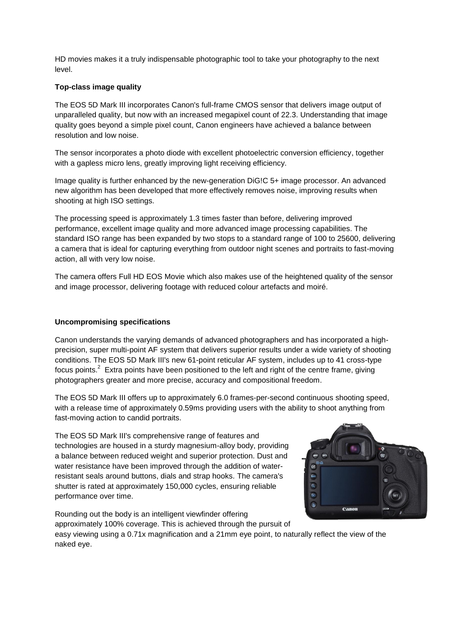HD movies makes it a truly indispensable photographic tool to take your photography to the next level.

### **Top-class image quality**

The EOS 5D Mark III incorporates Canon's full-frame CMOS sensor that delivers image output of unparalleled quality, but now with an increased megapixel count of 22.3. Understanding that image quality goes beyond a simple pixel count, Canon engineers have achieved a balance between resolution and low noise.

The sensor incorporates a photo diode with excellent photoelectric conversion efficiency, together with a gapless micro lens, greatly improving light receiving efficiency.

Image quality is further enhanced by the new-generation DiG!C 5+ image processor. An advanced new algorithm has been developed that more effectively removes noise, improving results when shooting at high ISO settings.

The processing speed is approximately 1.3 times faster than before, delivering improved performance, excellent image quality and more advanced image processing capabilities. The standard ISO range has been expanded by two stops to a standard range of 100 to 25600, delivering a camera that is ideal for capturing everything from outdoor night scenes and portraits to fast-moving action, all with very low noise.

The camera offers Full HD EOS Movie which also makes use of the heightened quality of the sensor and image processor, delivering footage with reduced colour artefacts and moiré.

# **Uncompromising specifications**

Canon understands the varying demands of advanced photographers and has incorporated a highprecision, super multi-point AF system that delivers superior results under a wide variety of shooting conditions. The EOS 5D Mark III's new 61-point reticular AF system, includes up to 41 cross-type focus points.<sup>2</sup> Extra points have been positioned to the left and right of the centre frame, giving photographers greater and more precise, accuracy and compositional freedom.

The EOS 5D Mark III offers up to approximately 6.0 frames-per-second continuous shooting speed, with a release time of approximately 0.59ms providing users with the ability to shoot anything from fast-moving action to candid portraits.

The EOS 5D Mark III's comprehensive range of features and technologies are housed in a sturdy magnesium-alloy body, providing a balance between reduced weight and superior protection. Dust and water resistance have been improved through the addition of waterresistant seals around buttons, dials and strap hooks. The camera's shutter is rated at approximately 150,000 cycles, ensuring reliable performance over time.



Rounding out the body is an intelligent viewfinder offering approximately 100% coverage. This is achieved through the pursuit of easy viewing using a 0.71x magnification and a 21mm eye point, to naturally reflect the view of the naked eye.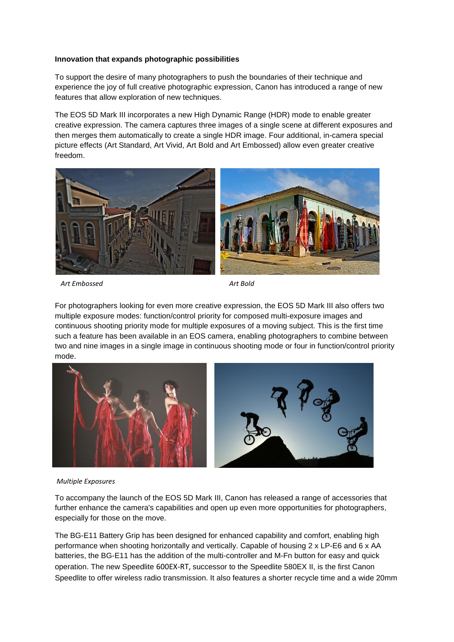#### **Innovation that expands photographic possibilities**

To support the desire of many photographers to push the boundaries of their technique and experience the joy of full creative photographic expression, Canon has introduced a range of new features that allow exploration of new techniques.

The EOS 5D Mark III incorporates a new High Dynamic Range (HDR) mode to enable greater creative expression. The camera captures three images of a single scene at different exposures and then merges them automatically to create a single HDR image. Four additional, in-camera special picture effects (Art Standard, Art Vivid, Art Bold and Art Embossed) allow even greater creative freedom.



*Art Embossed*

*Art Bold*

For photographers looking for even more creative expression, the EOS 5D Mark III also offers two multiple exposure modes: function/control priority for composed multi-exposure images and continuous shooting priority mode for multiple exposures of a moving subject. This is the first time such a feature has been available in an EOS camera, enabling photographers to combine between two and nine images in a single image in continuous shooting mode or four in function/control priority mode.



# **New accessories** *Multiple Exposures*

To accompany the launch of the EOS 5D Mark III, Canon has released a range of accessories that further enhance the camera's capabilities and open up even more opportunities for photographers, especially for those on the move.

The BG-E11 Battery Grip has been designed for enhanced capability and comfort, enabling high performance when shooting horizontally and vertically. Capable of housing 2 x LP-E6 and 6 x AA batteries, the BG-E11 has the addition of the multi-controller and M-Fn button for easy and quick operation. The new Speedlite 600EX-RT, successor to the Speedlite 580EX II, is the first Canon Speedlite to offer wireless radio transmission. It also features a shorter recycle time and a wide 20mm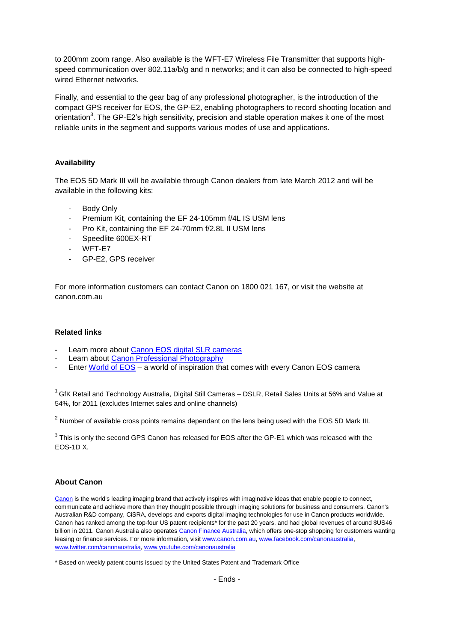to 200mm zoom range. Also available is the WFT-E7 Wireless File Transmitter that supports highspeed communication over 802.11a/b/g and n networks; and it can also be connected to high-speed wired Ethernet networks.

Finally, and essential to the gear bag of any professional photographer, is the introduction of the compact GPS receiver for EOS, the GP-E2, enabling photographers to record shooting location and orientation<sup>3</sup>. The GP-E2's high sensitivity, precision and stable operation makes it one of the most reliable units in the segment and supports various modes of use and applications.

# **Availability**

The EOS 5D Mark III will be available through Canon dealers from late March 2012 and will be available in the following kits:

- Body Only
- Premium Kit, containing the EF 24-105mm f/4L IS USM lens
- Pro Kit, containing the EF 24-70mm f/2.8L II USM lens
- Speedlite 600EX-RT
- WFT-F7
- GP-E2, GPS receiver

For more information customers can contact Canon on 1800 021 167, or visit the website at canon.com.au

### **Related links**

- Learn more about [Canon EOS digital SLR cameras](http://www.canon.com.au/en-AU/For-You/EOS-Digital-SLR-Cameras)
- Learn about [Canon Professional Photography](http://www.canon.com.au/Pro-Photography)
- Enter [World of EOS](http://www.canon.com.au/en-au/worldofeos/photo5/home?wid=jfphoto51109) a world of inspiration that comes with every Canon EOS camera

 $1$  GfK Retail and Technology Australia, Digital Still Cameras – DSLR, Retail Sales Units at 56% and Value at 54%, for 2011 (excludes Internet sales and online channels)

 $^2$  Number of available cross points remains dependant on the lens being used with the EOS 5D Mark III.

 $3$  This is only the second GPS Canon has released for EOS after the GP-E1 which was released with the EOS-1D X.

## **About Canon**

[Canon](http://www.canon.com.au/default.aspx) is the world's leading imaging brand that actively inspires with imaginative ideas that enable people to connect, communicate and achieve more than they thought possible through imaging solutions for business and consumers. Canon's Australian R&D company, CiSRA, develops and exports digital imaging technologies for use in Canon products worldwide. Canon has ranked among the top-four US patent recipients\* for the past 20 years, and had global revenues of around \$US46 billion in 2011. Canon Australia also operates [Canon Finance Australia,](http://www.canon.com.au/en-AU/Business/Canon-Finance) which offers one-stop shopping for customers wanting leasing or finance services. For more information, visi[t www.canon.com.au,](http://www.canon.com.au/) [www.facebook.com/canonaustralia,](http://www.facebook.com/canonaustralia)  [www.twitter.com/canonaustralia,](http://www.twitter.com/canonaustralia) [www.youtube.com/canonaustralia](http://www.youtube.com/canonaustralia)

<sup>\*</sup> Based on weekly patent counts issued by the United States Patent and Trademark Office